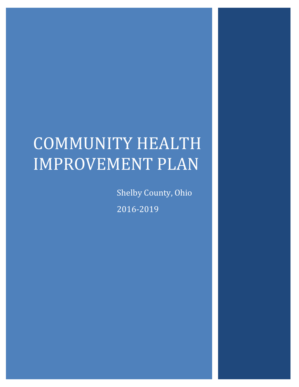# COMMUNITY HEALTH IMPROVEMENT PLAN

Shelby County, Ohio 2016-2019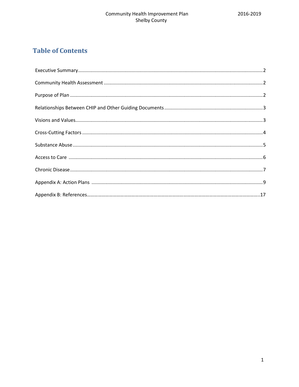# **Table of Contents**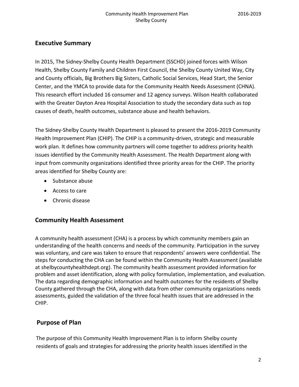#### **Executive Summary**

In 2015, The Sidney-Shelby County Health Department (SSCHD) joined forces with Wilson Health, Shelby County Family and Children First Council, the Shelby County United Way, City and County officials, Big Brothers Big Sisters, Catholic Social Services, Head Start, the Senior Center, and the YMCA to provide data for the Community Health Needs Assessment (CHNA). This research effort included 16 consumer and 12 agency surveys. Wilson Health collaborated with the Greater Dayton Area Hospital Association to study the secondary data such as top causes of death, health outcomes, substance abuse and health behaviors.

The Sidney-Shelby County Health Department is pleased to present the 2016-2019 Community Health Improvement Plan (CHIP). The CHIP is a community-driven, strategic and measurable work plan. It defines how community partners will come together to address priority health issues identified by the Community Health Assessment. The Health Department along with input from community organizations identified three priority areas for the CHIP. The priority areas identified for Shelby County are:

- Substance abuse
- Access to care
- Chronic disease

#### **Community Health Assessment**

A community health assessment (CHA) is a process by which community members gain an understanding of the health concerns and needs of the community. Participation in the survey was voluntary, and care was taken to ensure that respondents' answers were confidential. The steps for conducting the CHA can be found within the Community Health Assessment (available at shelbycountyhealthdept.org). The community health assessment provided information for problem and asset identification, along with policy formulation, implementation, and evaluation. The data regarding demographic information and health outcomes for the residents of Shelby County gathered through the CHA, along with data from other community organizations needs assessments, guided the validation of the three focal health issues that are addressed in the CHIP.

# **Purpose of Plan**

The purpose of this Community Health Improvement Plan is to inform Shelby county residents of goals and strategies for addressing the priority health issues identified in the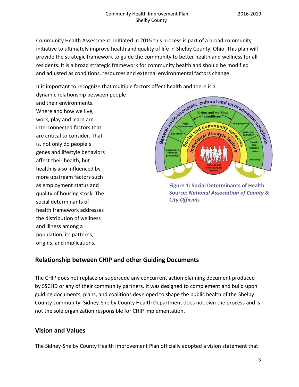Community Health Assessment. Initiated in 2015 this process is part of a broad community initiative to ultimately improve health and quality of life in Shelby County, Ohio. This plan will provide the strategic framework to guide the community to better health and wellness for all residents. It is a broad strategic framework for community health and should be modified and adjusted as conditions, resources and external environmental factors change.

It is important to recognize that multiple factors affect health and there is a

dynamic relationship between people and their environments. Where and how we live, work, play and learn are interconnected factors that are critical to consider. That is, not only do people's genes and lifestyle behaviors affect their health, but health is also influenced by more upstream factors such as employment status and quality of housing stock. The social determinants of health framework addresses the distribution of wellness and illness among a population; its patterns, origins, and implications.



**Figure 1: Social Determinants of Health Source:** *National Association of County & City Officials* 

# **Relationship between CHIP and other Guiding Documents**

The CHIP does not replace or supersede any concurrent action planning document produced by SSCHD or any of their community partners. It was designed to complement and build upon guiding documents, plans, and coalitions developed to shape the public health of the Shelby County community. Sidney-Shelby County Health Department does not own the process and is not the sole organization responsible for CHIP implementation.

## **Vision and Values**

The Sidney-Shelby County Health Improvement Plan officially adopted a vision statement that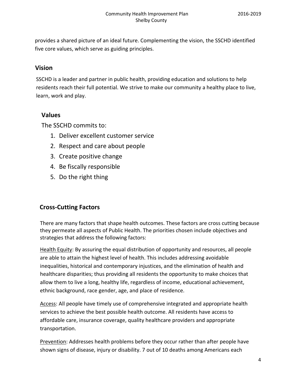provides a shared picture of an ideal future. Complementing the vision, the SSCHD identified five core values, which serve as guiding principles.

#### **Vision**

SSCHD is a leader and partner in public health, providing education and solutions to help residents reach their full potential. We strive to make our community a healthy place to live, learn, work and play.

#### **Values**

The SSCHD commits to:

- 1. Deliver excellent customer service
- 2. Respect and care about people
- 3. Create positive change
- 4. Be fiscally responsible
- 5. Do the right thing

## **Cross-Cutting Factors**

There are many factors that shape health outcomes. These factors are cross cutting because they permeate all aspects of Public Health. The priorities chosen include objectives and strategies that address the following factors:

Health Equity: By assuring the equal distribution of opportunity and resources, all people are able to attain the highest level of health. This includes addressing avoidable inequalities, historical and contemporary injustices, and the elimination of health and healthcare disparities; thus providing all residents the opportunity to make choices that allow them to live a long, healthy life, regardless of income, educational achievement, ethnic background, race gender, age, and place of residence.

Access: All people have timely use of comprehensive integrated and appropriate health services to achieve the best possible health outcome. All residents have access to affordable care, insurance coverage, quality healthcare providers and appropriate transportation.

Prevention: Addresses health problems before they occur rather than after people have shown signs of disease, injury or disability. 7 out of 10 deaths among Americans each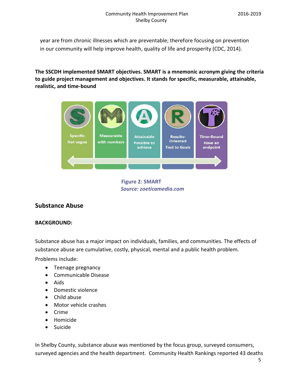year are from chronic illnesses which are preventable; therefore focusing on prevention in our community will help improve health, quality of life and prosperity (CDC, 2014).

**The SSCDH implemented SMART objectives. SMART is a mnemonic acronym giving the criteria to guide project management and objectives. It stands for specific, measurable, attainable, realistic, and time-bound**



**Figure 2: SMART** *Source: zoeticamedia.com*

#### **Substance Abuse**

#### **BACKGROUND:**

Substance abuse has a major impact on individuals, families, and communities. The effects of substance abuse are cumulative, costly, physical, mental and a public health problem.

Problems include:

- Teenage pregnancy
- Communicable Disease
- Aids
- Domestic violence
- Child abuse
- Motor vehicle crashes
- Crime
- Homicide
- Suicide

In Shelby County, substance abuse was mentioned by the focus group, surveyed consumers, surveyed agencies and the health department. Community Health Rankings reported 43 deaths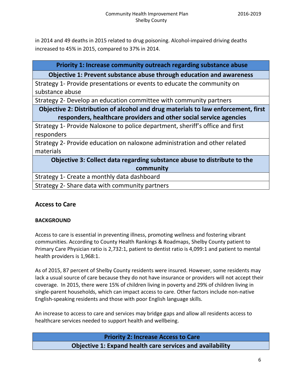in 2014 and 49 deaths in 2015 related to drug poisoning. Alcohol-impaired driving deaths increased to 45% in 2015, compared to 37% in 2014.

#### **Priority 1: Increase community outreach regarding substance abuse**

#### **Objective 1: Prevent substance abuse through education and awareness**

Strategy 1- Provide presentations or events to educate the community on substance abuse

Strategy 2- Develop an education committee with community partners

### **Objective 2: Distribution of alcohol and drug materials to law enforcement, first responders, healthcare providers and other social service agencies**

Strategy 1- Provide Naloxone to police department, sheriff's office and first responders

Strategy 2- Provide education on naloxone administration and other related materials

**Objective 3: Collect data regarding substance abuse to distribute to the community** Strategy 1- Create a monthly data dashboard

Strategy 2- Share data with community partners

## **Access to Care**

#### **BACKGROUND**

Access to care is essential in preventing illness, promoting wellness and fostering vibrant communities. According to County Health Rankings & Roadmaps, Shelby County patient to Primary Care Physician ratio is 2,732:1, patient to dentist ratio is 4,099:1 and patient to mental health providers is 1,968:1.

As of 2015, 87 percent of Shelby County residents were insured. However, some residents may lack a usual source of care because they do not have insurance or providers will not accept their coverage. In 2015, there were 15% of children living in poverty and 29% of children living in single-parent households, which can impact access to care. Other factors include non-native English-speaking residents and those with poor English language skills.

An increase to access to care and services may bridge gaps and allow all residents access to healthcare services needed to support health and wellbeing.

> **Priority 2: Increase Access to Care Objective 1: Expand health care services and availability**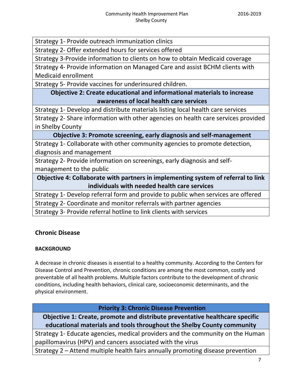Strategy 1- Provide outreach immunization clinics

Strategy 2- Offer extended hours for services offered

Strategy 3-Provide information to clients on how to obtain Medicaid coverage

Strategy 4- Provide information on Managed Care and assist BCHM clients with Medicaid enrollment

Strategy 5- Provide vaccines for underinsured children.

# **Objective 2: Create educational and informational materials to increase awareness of local health care services**

Strategy 1- Develop and distribute materials listing local health care services

Strategy 2- Share information with other agencies on health care services provided in Shelby County

**Objective 3: Promote screening, early diagnosis and self-management**

Strategy 1- Collaborate with other community agencies to promote detection, diagnosis and management

Strategy 2- Provide information on screenings, early diagnosis and selfmanagement to the public

**Objective 4: Collaborate with partners in implementing system of referral to link individuals with needed health care services**

Strategy 1- Develop referral form and provide to public when services are offered

Strategy 2- Coordinate and monitor referrals with partner agencies

Strategy 3- Provide referral hotline to link clients with services

# **Chronic Disease**

## **BACKGROUND**

A decrease in chronic diseases is essential to a healthy community. According to the Centers for Disease Control and Prevention, chronic conditions are among the most common, costly and preventable of all health problems. Multiple factors contribute to the development of chronic conditions, including health behaviors, clinical care, socioeconomic determinants, and the physical environment.

# **Priority 3: Chronic Disease Prevention**

**Objective 1: Create, promote and distribute preventative healthcare specific educational materials and tools throughout the Shelby County community**

Strategy 1- Educate agencies, medical providers and the community on the Human papillomavirus (HPV) and cancers associated with the virus

Strategy 2 – Attend multiple health fairs annually promoting disease prevention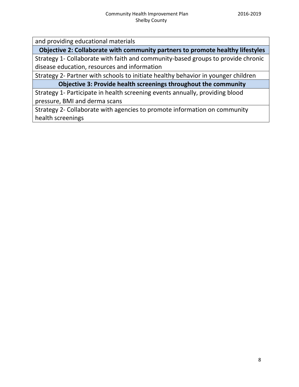and providing educational materials

**Objective 2: Collaborate with community partners to promote healthy lifestyles**

Strategy 1- Collaborate with faith and community-based groups to provide chronic disease education, resources and information

Strategy 2- Partner with schools to initiate healthy behavior in younger children

**Objective 3: Provide health screenings throughout the community**

Strategy 1- Participate in health screening events annually, providing blood pressure, BMI and derma scans

Strategy 2- Collaborate with agencies to promote information on community health screenings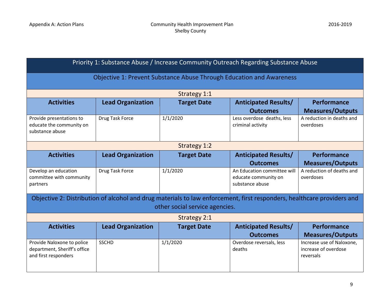| Priority 1: Substance Abuse / Increase Community Outreach Regarding Substance Abuse |                                                                      |                                                                                                                        |                                                                        |                                                                |  |  |
|-------------------------------------------------------------------------------------|----------------------------------------------------------------------|------------------------------------------------------------------------------------------------------------------------|------------------------------------------------------------------------|----------------------------------------------------------------|--|--|
|                                                                                     | Objective 1: Prevent Substance Abuse Through Education and Awareness |                                                                                                                        |                                                                        |                                                                |  |  |
|                                                                                     |                                                                      | Strategy 1:1                                                                                                           |                                                                        |                                                                |  |  |
| <b>Activities</b>                                                                   | <b>Lead Organization</b>                                             | <b>Target Date</b>                                                                                                     | <b>Anticipated Results/</b><br><b>Outcomes</b>                         | Performance<br><b>Measures/Outputs</b>                         |  |  |
| Provide presentations to<br>educate the community on<br>substance abuse             | <b>Drug Task Force</b>                                               | 1/1/2020                                                                                                               | Less overdose deaths, less<br>criminal activity                        | A reduction in deaths and<br>overdoses                         |  |  |
|                                                                                     |                                                                      | <b>Strategy 1:2</b>                                                                                                    |                                                                        |                                                                |  |  |
| <b>Activities</b>                                                                   | <b>Lead Organization</b>                                             | <b>Target Date</b>                                                                                                     | <b>Anticipated Results/</b>                                            | Performance                                                    |  |  |
|                                                                                     |                                                                      |                                                                                                                        | <b>Outcomes</b>                                                        | <b>Measures/Outputs</b>                                        |  |  |
| Develop an education<br>committee with community<br>partners                        | Drug Task Force                                                      | 1/1/2020                                                                                                               | An Education committee will<br>educate community on<br>substance abuse | A reduction of deaths and<br>overdoses                         |  |  |
|                                                                                     |                                                                      | Objective 2: Distribution of alcohol and drug materials to law enforcement, first responders, healthcare providers and |                                                                        |                                                                |  |  |
|                                                                                     |                                                                      | other social service agencies.                                                                                         |                                                                        |                                                                |  |  |
|                                                                                     |                                                                      | <b>Strategy 2:1</b>                                                                                                    |                                                                        |                                                                |  |  |
| <b>Activities</b>                                                                   | <b>Lead Organization</b>                                             | <b>Target Date</b>                                                                                                     | <b>Anticipated Results/</b>                                            | Performance                                                    |  |  |
|                                                                                     |                                                                      |                                                                                                                        | <b>Outcomes</b>                                                        | <b>Measures/Outputs</b>                                        |  |  |
| Provide Naloxone to police<br>department, Sheriff's office<br>and first responders  | <b>SSCHD</b>                                                         | 1/1/2020                                                                                                               | Overdose reversals, less<br>deaths                                     | Increase use of Naloxone,<br>increase of overdose<br>reversals |  |  |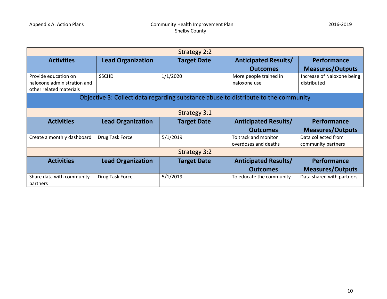| <b>Strategy 2:2</b>                                    |                          |                                                                                    |                             |                            |  |
|--------------------------------------------------------|--------------------------|------------------------------------------------------------------------------------|-----------------------------|----------------------------|--|
| <b>Activities</b>                                      | <b>Lead Organization</b> | <b>Target Date</b>                                                                 | <b>Anticipated Results/</b> | Performance                |  |
|                                                        |                          |                                                                                    | <b>Outcomes</b>             | <b>Measures/Outputs</b>    |  |
| Provide education on                                   | <b>SSCHD</b>             | 1/1/2020                                                                           | More people trained in      | Increase of Naloxone being |  |
| naloxone administration and<br>other related materials |                          |                                                                                    | naloxone use                | distributed                |  |
|                                                        |                          | Objective 3: Collect data regarding substance abuse to distribute to the community |                             |                            |  |
|                                                        |                          |                                                                                    |                             |                            |  |
|                                                        |                          | <b>Strategy 3:1</b>                                                                |                             |                            |  |
| <b>Activities</b>                                      | <b>Lead Organization</b> | <b>Target Date</b>                                                                 | <b>Anticipated Results/</b> | <b>Performance</b>         |  |
|                                                        |                          |                                                                                    | <b>Outcomes</b>             | <b>Measures/Outputs</b>    |  |
| Create a monthly dashboard                             | Drug Task Force          | 5/1/2019                                                                           | To track and monitor        | Data collected from        |  |
|                                                        |                          |                                                                                    | overdoses and deaths        | community partners         |  |
| <b>Strategy 3:2</b>                                    |                          |                                                                                    |                             |                            |  |
| <b>Activities</b>                                      | <b>Lead Organization</b> | <b>Target Date</b>                                                                 | <b>Anticipated Results/</b> | <b>Performance</b>         |  |
|                                                        |                          |                                                                                    | <b>Outcomes</b>             | <b>Measures/Outputs</b>    |  |
| Share data with community<br>partners                  | Drug Task Force          | 5/1/2019                                                                           | To educate the community    | Data shared with partners  |  |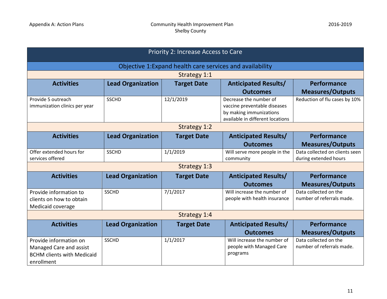| Priority 2: Increase Access to Care                                                                  |                          |                                                           |                                                                                                                       |                                                         |  |
|------------------------------------------------------------------------------------------------------|--------------------------|-----------------------------------------------------------|-----------------------------------------------------------------------------------------------------------------------|---------------------------------------------------------|--|
|                                                                                                      |                          | Objective 1: Expand health care services and availability |                                                                                                                       |                                                         |  |
|                                                                                                      |                          | Strategy 1:1                                              |                                                                                                                       |                                                         |  |
| <b>Activities</b>                                                                                    | <b>Lead Organization</b> | <b>Target Date</b>                                        | <b>Anticipated Results/</b><br><b>Outcomes</b>                                                                        | <b>Performance</b><br><b>Measures/Outputs</b>           |  |
| Provide 5 outreach<br>immunization clinics per year                                                  | <b>SSCHD</b>             | 12/1/2019                                                 | Decrease the number of<br>vaccine preventable diseases<br>by making immunizations<br>available in different locations | Reduction of flu cases by 10%                           |  |
|                                                                                                      |                          | <b>Strategy 1:2</b>                                       |                                                                                                                       |                                                         |  |
| <b>Activities</b>                                                                                    | <b>Lead Organization</b> | <b>Target Date</b>                                        | <b>Anticipated Results/</b>                                                                                           | Performance                                             |  |
|                                                                                                      |                          |                                                           | <b>Outcomes</b>                                                                                                       | <b>Measures/Outputs</b>                                 |  |
| Offer extended hours for<br>services offered                                                         | <b>SSCHD</b>             | 1/1/2019                                                  | Will serve more people in the<br>community                                                                            | Data collected on clients seen<br>during extended hours |  |
|                                                                                                      |                          | Strategy 1:3                                              |                                                                                                                       |                                                         |  |
| <b>Activities</b>                                                                                    | <b>Lead Organization</b> | <b>Target Date</b>                                        | <b>Anticipated Results/</b><br><b>Outcomes</b>                                                                        | Performance<br><b>Measures/Outputs</b>                  |  |
| Provide information to<br>clients on how to obtain<br>Medicaid coverage                              | <b>SSCHD</b>             | 7/1/2017                                                  | Will increase the number of<br>people with health insurance                                                           | Data collected on the<br>number of referrals made.      |  |
| Strategy 1:4                                                                                         |                          |                                                           |                                                                                                                       |                                                         |  |
| <b>Activities</b>                                                                                    | <b>Lead Organization</b> | <b>Target Date</b>                                        | <b>Anticipated Results/</b><br><b>Outcomes</b>                                                                        | Performance<br><b>Measures/Outputs</b>                  |  |
| Provide information on<br>Managed Care and assist<br><b>BCHM clients with Medicaid</b><br>enrollment | <b>SSCHD</b>             | 1/1/2017                                                  | Will increase the number of<br>people with Managed Care<br>programs                                                   | Data collected on the<br>number of referrals made.      |  |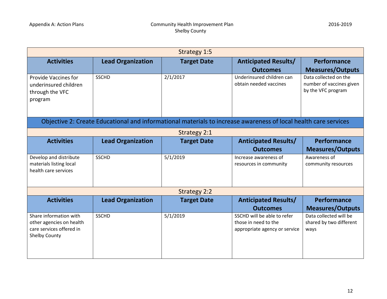| Strategy 1:5                                                                                           |                          |                     |                                                                                                                 |                                                                         |
|--------------------------------------------------------------------------------------------------------|--------------------------|---------------------|-----------------------------------------------------------------------------------------------------------------|-------------------------------------------------------------------------|
| <b>Activities</b>                                                                                      | <b>Lead Organization</b> | <b>Target Date</b>  | <b>Anticipated Results/</b>                                                                                     | <b>Performance</b>                                                      |
|                                                                                                        |                          |                     | <b>Outcomes</b>                                                                                                 | <b>Measures/Outputs</b>                                                 |
| <b>Provide Vaccines for</b><br>underinsured children<br>through the VFC<br>program                     | <b>SSCHD</b>             | 2/1/2017            | Underinsured children can<br>obtain needed vaccines                                                             | Data collected on the<br>number of vaccines given<br>by the VFC program |
|                                                                                                        |                          |                     | Objective 2: Create Educational and informational materials to increase awareness of local health care services |                                                                         |
|                                                                                                        |                          | <b>Strategy 2:1</b> |                                                                                                                 |                                                                         |
| <b>Activities</b>                                                                                      | <b>Lead Organization</b> | <b>Target Date</b>  | <b>Anticipated Results/</b>                                                                                     | <b>Performance</b>                                                      |
|                                                                                                        |                          |                     | <b>Outcomes</b>                                                                                                 | <b>Measures/Outputs</b>                                                 |
| Develop and distribute<br>materials listing local<br>health care services                              | <b>SSCHD</b>             | 5/1/2019            | Increase awareness of<br>resources in community                                                                 | Awareness of<br>community resources                                     |
|                                                                                                        |                          | <b>Strategy 2:2</b> |                                                                                                                 |                                                                         |
| <b>Activities</b>                                                                                      | <b>Lead Organization</b> | <b>Target Date</b>  | <b>Anticipated Results/</b><br><b>Outcomes</b>                                                                  | Performance<br><b>Measures/Outputs</b>                                  |
| Share information with<br>other agencies on health<br>care services offered in<br><b>Shelby County</b> | <b>SSCHD</b>             | 5/1/2019            | SSCHD will be able to refer<br>those in need to the<br>appropriate agency or service                            | Data collected will be<br>shared by two different<br>ways               |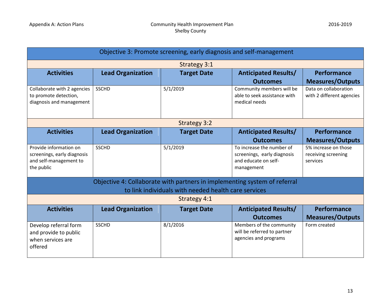| Objective 3: Promote screening, early diagnosis and self-management                           |                                                                                                                                   |                     |                                                                                                |                                                         |  |
|-----------------------------------------------------------------------------------------------|-----------------------------------------------------------------------------------------------------------------------------------|---------------------|------------------------------------------------------------------------------------------------|---------------------------------------------------------|--|
|                                                                                               |                                                                                                                                   | <b>Strategy 3:1</b> |                                                                                                |                                                         |  |
| <b>Activities</b>                                                                             | <b>Lead Organization</b>                                                                                                          | <b>Target Date</b>  | <b>Anticipated Results/</b><br><b>Outcomes</b>                                                 | Performance<br><b>Measures/Outputs</b>                  |  |
| Collaborate with 2 agencies<br>to promote detection,<br>diagnosis and management              | <b>SSCHD</b>                                                                                                                      | 5/1/2019            | Community members will be<br>able to seek assistance with<br>medical needs                     | Data on collaboration<br>with 2 different agencies      |  |
|                                                                                               |                                                                                                                                   | <b>Strategy 3:2</b> |                                                                                                |                                                         |  |
| <b>Activities</b>                                                                             | <b>Lead Organization</b>                                                                                                          | <b>Target Date</b>  | <b>Anticipated Results/</b>                                                                    | Performance                                             |  |
|                                                                                               |                                                                                                                                   |                     | <b>Outcomes</b>                                                                                | <b>Measures/Outputs</b>                                 |  |
| Provide information on<br>screenings, early diagnosis<br>and self-management to<br>the public | <b>SSCHD</b>                                                                                                                      | 5/1/2019            | To increase the number of<br>screenings, early diagnosis<br>and educate on self-<br>management | 5% increase on those<br>receiving screening<br>services |  |
|                                                                                               | Objective 4: Collaborate with partners in implementing system of referral<br>to link individuals with needed health care services |                     |                                                                                                |                                                         |  |
|                                                                                               |                                                                                                                                   | <b>Strategy 4:1</b> |                                                                                                |                                                         |  |
| <b>Activities</b>                                                                             | <b>Lead Organization</b>                                                                                                          | <b>Target Date</b>  | <b>Anticipated Results/</b>                                                                    | Performance                                             |  |
|                                                                                               |                                                                                                                                   |                     | <b>Outcomes</b>                                                                                | <b>Measures/Outputs</b>                                 |  |
| Develop referral form<br>and provide to public<br>when services are<br>offered                | <b>SSCHD</b>                                                                                                                      | 8/1/2016            | Members of the community<br>will be referred to partner<br>agencies and programs               | Form created                                            |  |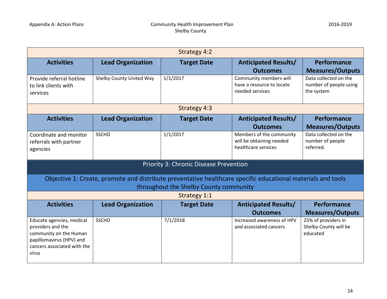| <b>Strategy 4:2</b>                                                                                                                          |                          |                                                                                                                                                        |                                                                             |                                                               |
|----------------------------------------------------------------------------------------------------------------------------------------------|--------------------------|--------------------------------------------------------------------------------------------------------------------------------------------------------|-----------------------------------------------------------------------------|---------------------------------------------------------------|
| <b>Activities</b>                                                                                                                            | <b>Lead Organization</b> | <b>Target Date</b>                                                                                                                                     | <b>Anticipated Results/</b><br><b>Outcomes</b>                              | <b>Performance</b><br><b>Measures/Outputs</b>                 |
| Provide referral hotline<br>to link clients with<br>services                                                                                 | Shelby County United Way | 1/1/2017                                                                                                                                               | Community members will<br>have a resource to locate<br>needed services      | Data collected on the<br>number of people using<br>the system |
|                                                                                                                                              |                          | <b>Strategy 4:3</b>                                                                                                                                    |                                                                             |                                                               |
| <b>Activities</b>                                                                                                                            | <b>Lead Organization</b> | <b>Target Date</b>                                                                                                                                     | <b>Anticipated Results/</b>                                                 | Performance                                                   |
|                                                                                                                                              |                          |                                                                                                                                                        | <b>Outcomes</b>                                                             | <b>Measures/Outputs</b>                                       |
| Coordinate and monitor<br>referrals with partner<br>agencies                                                                                 | <b>SSCHD</b>             | 1/1/2017                                                                                                                                               | Members of the community<br>will be obtaining needed<br>healthcare services | Data collected on the<br>number of people<br>referred.        |
|                                                                                                                                              |                          | <b>Priority 3: Chronic Disease Prevention</b>                                                                                                          |                                                                             |                                                               |
|                                                                                                                                              |                          | Objective 1: Create, promote and distribute preventative healthcare specific educational materials and tools<br>throughout the Shelby County community |                                                                             |                                                               |
|                                                                                                                                              |                          | <b>Strategy 1:1</b>                                                                                                                                    |                                                                             |                                                               |
| <b>Activities</b>                                                                                                                            | <b>Lead Organization</b> | <b>Target Date</b>                                                                                                                                     | <b>Anticipated Results/</b>                                                 | <b>Performance</b>                                            |
|                                                                                                                                              |                          |                                                                                                                                                        | <b>Outcomes</b>                                                             | <b>Measures/Outputs</b>                                       |
| Educate agencies, medical<br>providers and the<br>community on the Human<br>papillomavirus (HPV) and<br>cancers associated with the<br>virus | <b>SSCHD</b>             | 7/1/2018                                                                                                                                               | Increased awareness of HPV<br>and associated cancers                        | 25% of providers in<br>Shelby County will be<br>educated      |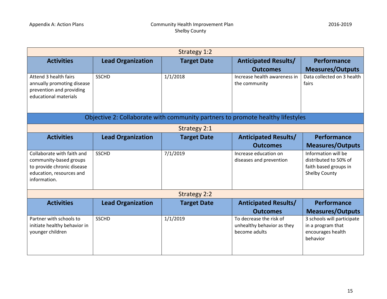| <b>Strategy 1:2</b>                                    |                          |                     |                                                                                |                                               |
|--------------------------------------------------------|--------------------------|---------------------|--------------------------------------------------------------------------------|-----------------------------------------------|
| <b>Activities</b>                                      | <b>Lead Organization</b> | <b>Target Date</b>  | <b>Anticipated Results/</b>                                                    | Performance                                   |
|                                                        |                          |                     | <b>Outcomes</b>                                                                | <b>Measures/Outputs</b>                       |
| Attend 3 health fairs                                  | <b>SSCHD</b>             | 1/1/2018            | Increase health awareness in                                                   | Data collected on 3 health                    |
| annually promoting disease                             |                          |                     | the community                                                                  | fairs                                         |
| prevention and providing<br>educational materials      |                          |                     |                                                                                |                                               |
|                                                        |                          |                     |                                                                                |                                               |
|                                                        |                          |                     |                                                                                |                                               |
|                                                        |                          |                     | Objective 2: Collaborate with community partners to promote healthy lifestyles |                                               |
|                                                        |                          | <b>Strategy 2:1</b> |                                                                                |                                               |
| <b>Activities</b>                                      | <b>Lead Organization</b> | <b>Target Date</b>  | <b>Anticipated Results/</b>                                                    | <b>Performance</b>                            |
|                                                        |                          |                     | <b>Outcomes</b>                                                                | <b>Measures/Outputs</b>                       |
| Collaborate with faith and                             | <b>SSCHD</b>             | 7/1/2019            | Increase education on                                                          | Information will be                           |
| community-based groups                                 |                          |                     | diseases and prevention                                                        | distributed to 50% of                         |
| to provide chronic disease<br>education, resources and |                          |                     |                                                                                | faith based groups in<br><b>Shelby County</b> |
| information.                                           |                          |                     |                                                                                |                                               |
|                                                        |                          |                     |                                                                                |                                               |
|                                                        |                          | <b>Strategy 2:2</b> |                                                                                |                                               |
| <b>Activities</b>                                      | <b>Lead Organization</b> | <b>Target Date</b>  | <b>Anticipated Results/</b>                                                    | <b>Performance</b>                            |
|                                                        |                          |                     | <b>Outcomes</b>                                                                | <b>Measures/Outputs</b>                       |
| Partner with schools to                                | <b>SSCHD</b>             | 1/1/2019            | To decrease the risk of                                                        | 3 schools will participate                    |
| initiate healthy behavior in                           |                          |                     | unhealthy behavior as they                                                     | in a program that                             |
| younger children                                       |                          |                     | become adults                                                                  | encourages health<br>behavior                 |
|                                                        |                          |                     |                                                                                |                                               |
|                                                        |                          |                     |                                                                                |                                               |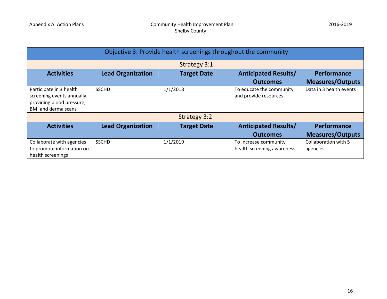| Objective 3: Provide health screenings throughout the community                                                  |                          |                     |                                                     |                                        |  |  |
|------------------------------------------------------------------------------------------------------------------|--------------------------|---------------------|-----------------------------------------------------|----------------------------------------|--|--|
|                                                                                                                  | <b>Strategy 3:1</b>      |                     |                                                     |                                        |  |  |
| <b>Activities</b>                                                                                                | <b>Lead Organization</b> | <b>Target Date</b>  | <b>Anticipated Results/</b>                         | Performance                            |  |  |
|                                                                                                                  |                          |                     | <b>Outcomes</b>                                     | <b>Measures/Outputs</b>                |  |  |
| Participate in 3 health<br>screening events annually,<br>providing blood pressure,<br><b>BMI and derma scans</b> | <b>SSCHD</b>             | 1/1/2018            | To educate the community<br>and provide resources   | Data in 3 health events                |  |  |
|                                                                                                                  |                          | <b>Strategy 3:2</b> |                                                     |                                        |  |  |
| <b>Activities</b>                                                                                                | <b>Lead Organization</b> | <b>Target Date</b>  | <b>Anticipated Results/</b><br><b>Outcomes</b>      | Performance<br><b>Measures/Outputs</b> |  |  |
| Collaborate with agencies<br>to promote information on                                                           | <b>SSCHD</b>             | 1/1/2019            | To increase community<br>health screening awareness | Collaboration with 5<br>agencies       |  |  |
| health screenings                                                                                                |                          |                     |                                                     |                                        |  |  |